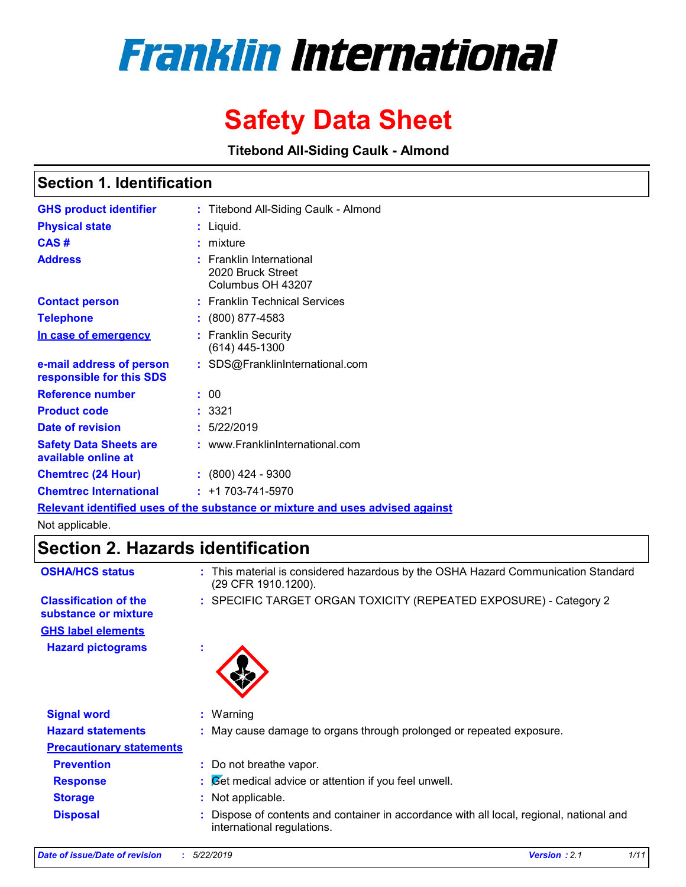# **Franklin International**

# **Safety Data Sheet**

**Titebond All-Siding Caulk - Almond**

### **Section 1. Identification**

| <b>GHS product identifier</b>                                                 |  | : Titebond All-Siding Caulk - Almond                                 |  |  |  |
|-------------------------------------------------------------------------------|--|----------------------------------------------------------------------|--|--|--|
| <b>Physical state</b>                                                         |  | : Liquid.                                                            |  |  |  |
| CAS#                                                                          |  | $:$ mixture                                                          |  |  |  |
| <b>Address</b>                                                                |  | $:$ Franklin International<br>2020 Bruck Street<br>Columbus OH 43207 |  |  |  |
| <b>Contact person</b>                                                         |  | : Franklin Technical Services                                        |  |  |  |
| <b>Telephone</b>                                                              |  | $: (800) 877 - 4583$                                                 |  |  |  |
| In case of emergency                                                          |  | : Franklin Security<br>$(614)$ 445-1300                              |  |  |  |
| e-mail address of person<br>responsible for this SDS                          |  | : SDS@FranklinInternational.com                                      |  |  |  |
| <b>Reference number</b>                                                       |  | : 00                                                                 |  |  |  |
| <b>Product code</b>                                                           |  | : 3321                                                               |  |  |  |
| Date of revision                                                              |  | : 5/22/2019                                                          |  |  |  |
| <b>Safety Data Sheets are</b><br>available online at                          |  | : www.FranklinInternational.com                                      |  |  |  |
| <b>Chemtrec (24 Hour)</b>                                                     |  | $: (800)$ 424 - 9300                                                 |  |  |  |
| <b>Chemtrec International</b>                                                 |  | $: +1703 - 741 - 5970$                                               |  |  |  |
| Relevant identified uses of the substance or mixture and uses advised against |  |                                                                      |  |  |  |

Not applicable.

### **Section 2. Hazards identification**

| <b>OSHA/HCS status</b>                               | This material is considered hazardous by the OSHA Hazard Communication Standard<br>÷.<br>(29 CFR 1910.1200).         |
|------------------------------------------------------|----------------------------------------------------------------------------------------------------------------------|
| <b>Classification of the</b><br>substance or mixture | : SPECIFIC TARGET ORGAN TOXICITY (REPEATED EXPOSURE) - Category 2                                                    |
| <b>GHS label elements</b>                            |                                                                                                                      |
| <b>Hazard pictograms</b>                             | ٠                                                                                                                    |
| <b>Signal word</b>                                   | $:$ Warning                                                                                                          |
| <b>Hazard statements</b>                             | : May cause damage to organs through prolonged or repeated exposure.                                                 |
| <b>Precautionary statements</b>                      |                                                                                                                      |
| <b>Prevention</b>                                    | : Do not breathe vapor.                                                                                              |
| <b>Response</b>                                      | $\mathcal{B}$ $\mathcal{B}$ et medical advice or attention if you feel unwell.                                       |
| <b>Storage</b>                                       | Not applicable.<br>÷.                                                                                                |
| <b>Disposal</b>                                      | Dispose of contents and container in accordance with all local, regional, national and<br>international regulations. |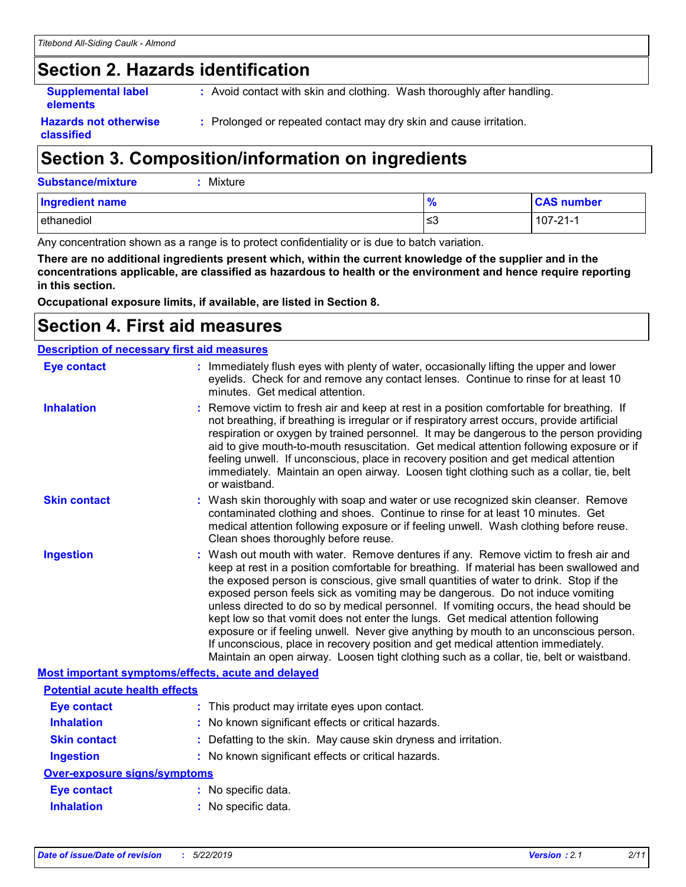### **Section 2. Hazards identification**

**Supplemental label elements**

**:** Avoid contact with skin and clothing. Wash thoroughly after handling.

**Hazards not otherwise classified**

**:** Prolonged or repeated contact may dry skin and cause irritation.

### **Section 3. Composition/information on ingredients**

| Substance/mixture | $:$ Mixture |
|-------------------|-------------|
|                   |             |

| <b>Ingredient name</b> | . O.<br>7c | <b>CAS number</b> |
|------------------------|------------|-------------------|
| ethanediol             | צ≥         | $107 - 21 - 1$    |

Any concentration shown as a range is to protect confidentiality or is due to batch variation.

**There are no additional ingredients present which, within the current knowledge of the supplier and in the concentrations applicable, are classified as hazardous to health or the environment and hence require reporting in this section.**

**Occupational exposure limits, if available, are listed in Section 8.**

### **Section 4. First aid measures**

| <b>Description of necessary first aid measures</b> |                                                                                                                                                                                                                                                                                                                                                                                                                                                                                                                                                                                                                                                                                                                                                                                                                   |  |  |  |
|----------------------------------------------------|-------------------------------------------------------------------------------------------------------------------------------------------------------------------------------------------------------------------------------------------------------------------------------------------------------------------------------------------------------------------------------------------------------------------------------------------------------------------------------------------------------------------------------------------------------------------------------------------------------------------------------------------------------------------------------------------------------------------------------------------------------------------------------------------------------------------|--|--|--|
| <b>Eye contact</b>                                 | : Immediately flush eyes with plenty of water, occasionally lifting the upper and lower<br>eyelids. Check for and remove any contact lenses. Continue to rinse for at least 10<br>minutes. Get medical attention.                                                                                                                                                                                                                                                                                                                                                                                                                                                                                                                                                                                                 |  |  |  |
| <b>Inhalation</b>                                  | : Remove victim to fresh air and keep at rest in a position comfortable for breathing. If<br>not breathing, if breathing is irregular or if respiratory arrest occurs, provide artificial<br>respiration or oxygen by trained personnel. It may be dangerous to the person providing<br>aid to give mouth-to-mouth resuscitation. Get medical attention following exposure or if<br>feeling unwell. If unconscious, place in recovery position and get medical attention<br>immediately. Maintain an open airway. Loosen tight clothing such as a collar, tie, belt<br>or waistband.                                                                                                                                                                                                                              |  |  |  |
| <b>Skin contact</b>                                | : Wash skin thoroughly with soap and water or use recognized skin cleanser. Remove<br>contaminated clothing and shoes. Continue to rinse for at least 10 minutes. Get<br>medical attention following exposure or if feeling unwell. Wash clothing before reuse.<br>Clean shoes thoroughly before reuse.                                                                                                                                                                                                                                                                                                                                                                                                                                                                                                           |  |  |  |
| <b>Ingestion</b>                                   | : Wash out mouth with water. Remove dentures if any. Remove victim to fresh air and<br>keep at rest in a position comfortable for breathing. If material has been swallowed and<br>the exposed person is conscious, give small quantities of water to drink. Stop if the<br>exposed person feels sick as vomiting may be dangerous. Do not induce vomiting<br>unless directed to do so by medical personnel. If vomiting occurs, the head should be<br>kept low so that vomit does not enter the lungs. Get medical attention following<br>exposure or if feeling unwell. Never give anything by mouth to an unconscious person.<br>If unconscious, place in recovery position and get medical attention immediately.<br>Maintain an open airway. Loosen tight clothing such as a collar, tie, belt or waistband. |  |  |  |
| Most important symptoms/effects, acute and delayed |                                                                                                                                                                                                                                                                                                                                                                                                                                                                                                                                                                                                                                                                                                                                                                                                                   |  |  |  |
| <b>Potential acute health effects</b>              |                                                                                                                                                                                                                                                                                                                                                                                                                                                                                                                                                                                                                                                                                                                                                                                                                   |  |  |  |
| <b>Eye contact</b>                                 | : This product may irritate eyes upon contact.                                                                                                                                                                                                                                                                                                                                                                                                                                                                                                                                                                                                                                                                                                                                                                    |  |  |  |
| <b>Inhalation</b>                                  | : No known significant effects or critical hazards.                                                                                                                                                                                                                                                                                                                                                                                                                                                                                                                                                                                                                                                                                                                                                               |  |  |  |
| <b>Skin contact</b>                                | : Defatting to the skin. May cause skin dryness and irritation.                                                                                                                                                                                                                                                                                                                                                                                                                                                                                                                                                                                                                                                                                                                                                   |  |  |  |
| <b>Ingestion</b>                                   | : No known significant effects or critical hazards.                                                                                                                                                                                                                                                                                                                                                                                                                                                                                                                                                                                                                                                                                                                                                               |  |  |  |
| Over-exposure signs/symptoms                       |                                                                                                                                                                                                                                                                                                                                                                                                                                                                                                                                                                                                                                                                                                                                                                                                                   |  |  |  |
| <b>Eye contact</b>                                 | : No specific data.                                                                                                                                                                                                                                                                                                                                                                                                                                                                                                                                                                                                                                                                                                                                                                                               |  |  |  |
| <b>Inhalation</b>                                  | : No specific data.                                                                                                                                                                                                                                                                                                                                                                                                                                                                                                                                                                                                                                                                                                                                                                                               |  |  |  |
|                                                    |                                                                                                                                                                                                                                                                                                                                                                                                                                                                                                                                                                                                                                                                                                                                                                                                                   |  |  |  |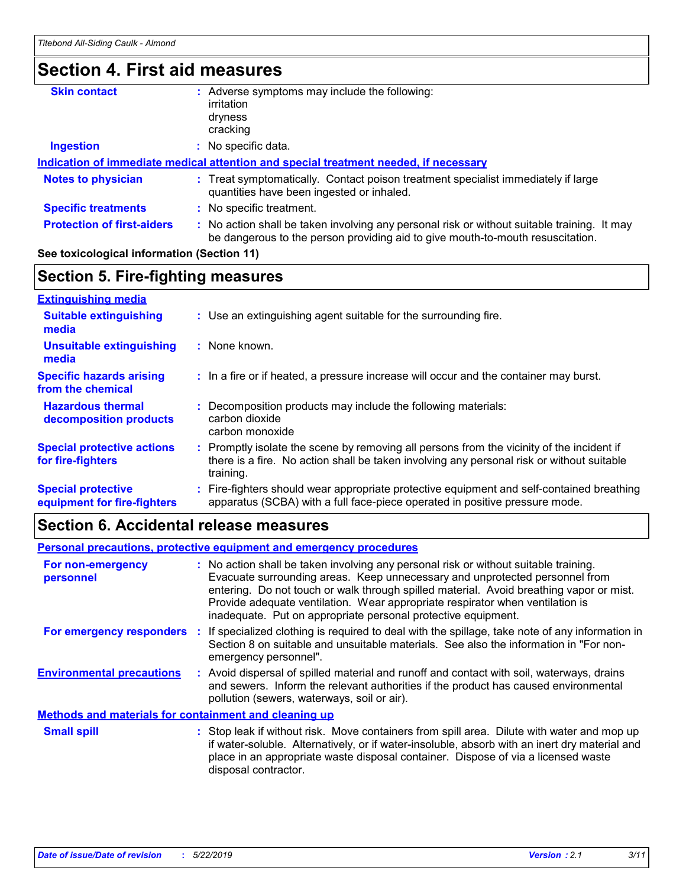### **Section 4. First aid measures**

| <b>Skin contact</b>               | Adverse symptoms may include the following:                                                                                                                                   |  |
|-----------------------------------|-------------------------------------------------------------------------------------------------------------------------------------------------------------------------------|--|
|                                   | irritation                                                                                                                                                                    |  |
|                                   | dryness                                                                                                                                                                       |  |
|                                   | cracking                                                                                                                                                                      |  |
| <b>Ingestion</b>                  | No specific data.                                                                                                                                                             |  |
|                                   | Indication of immediate medical attention and special treatment needed, if necessary                                                                                          |  |
| <b>Notes to physician</b>         | : Treat symptomatically. Contact poison treatment specialist immediately if large<br>quantities have been ingested or inhaled.                                                |  |
| <b>Specific treatments</b>        | : No specific treatment.                                                                                                                                                      |  |
| <b>Protection of first-aiders</b> | : No action shall be taken involving any personal risk or without suitable training. It may<br>be dangerous to the person providing aid to give mouth-to-mouth resuscitation. |  |
|                                   |                                                                                                                                                                               |  |

#### **See toxicological information (Section 11)**

#### **Section 5. Fire-fighting measures**

| <b>Extinguishing media</b>                               |                                                                                                                                                                                                     |
|----------------------------------------------------------|-----------------------------------------------------------------------------------------------------------------------------------------------------------------------------------------------------|
| <b>Suitable extinguishing</b><br>media                   | : Use an extinguishing agent suitable for the surrounding fire.                                                                                                                                     |
| <b>Unsuitable extinguishing</b><br>media                 | : None known.                                                                                                                                                                                       |
| <b>Specific hazards arising</b><br>from the chemical     | : In a fire or if heated, a pressure increase will occur and the container may burst.                                                                                                               |
| <b>Hazardous thermal</b><br>decomposition products       | Decomposition products may include the following materials:<br>carbon dioxide<br>carbon monoxide                                                                                                    |
| <b>Special protective actions</b><br>for fire-fighters   | : Promptly isolate the scene by removing all persons from the vicinity of the incident if<br>there is a fire. No action shall be taken involving any personal risk or without suitable<br>training. |
| <b>Special protective</b><br>equipment for fire-fighters | : Fire-fighters should wear appropriate protective equipment and self-contained breathing<br>apparatus (SCBA) with a full face-piece operated in positive pressure mode.                            |

### **Section 6. Accidental release measures**

#### **Environmental precautions Personal precautions, protective equipment and emergency procedures :** Avoid dispersal of spilled material and runoff and contact with soil, waterways, drains **:** No action shall be taken involving any personal risk or without suitable training. Evacuate surrounding areas. Keep unnecessary and unprotected personnel from entering. Do not touch or walk through spilled material. Avoid breathing vapor or mist. Provide adequate ventilation. Wear appropriate respirator when ventilation is inadequate. Put on appropriate personal protective equipment. and sewers. Inform the relevant authorities if the product has caused environmental pollution (sewers, waterways, soil or air). : Stop leak if without risk. Move containers from spill area. Dilute with water and mop up if water-soluble. Alternatively, or if water-insoluble, absorb with an inert dry material and place in an appropriate waste disposal container. Dispose of via a licensed waste disposal contractor. **Small spill : Methods and materials for containment and cleaning up For non-emergency personnel For emergency responders :** If specialized clothing is required to deal with the spillage, take note of any information in Section 8 on suitable and unsuitable materials. See also the information in "For nonemergency personnel".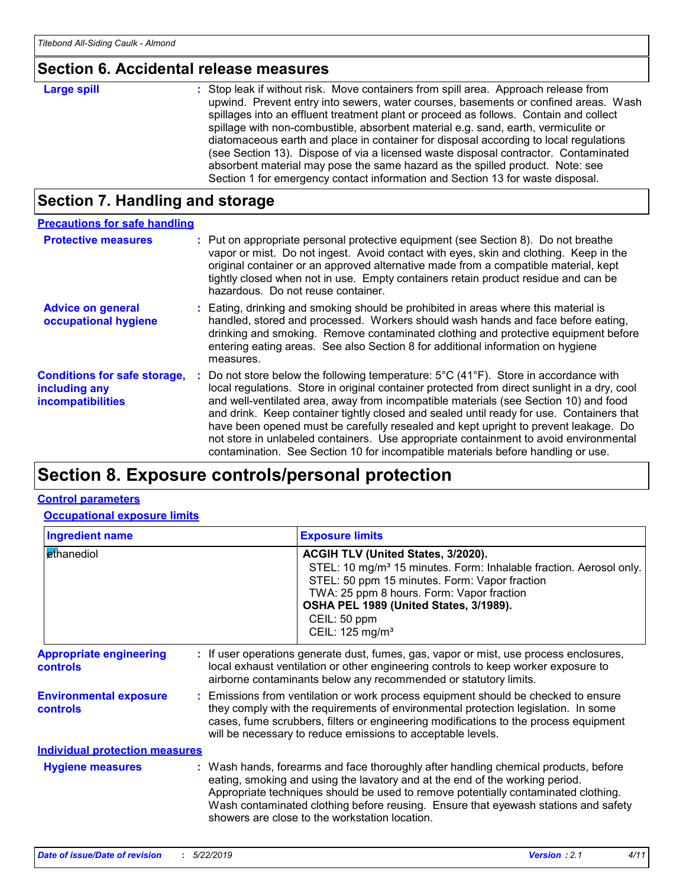### **Section 6. Accidental release measures**

### **Section 7. Handling and storage**

| <b>Precautions for safe handling</b>                                             |                                                                                                                                                                                                                                                                                                                                                                                                                                                                                                                                                                                                                                                                   |
|----------------------------------------------------------------------------------|-------------------------------------------------------------------------------------------------------------------------------------------------------------------------------------------------------------------------------------------------------------------------------------------------------------------------------------------------------------------------------------------------------------------------------------------------------------------------------------------------------------------------------------------------------------------------------------------------------------------------------------------------------------------|
| <b>Protective measures</b>                                                       | : Put on appropriate personal protective equipment (see Section 8). Do not breathe<br>vapor or mist. Do not ingest. Avoid contact with eyes, skin and clothing. Keep in the<br>original container or an approved alternative made from a compatible material, kept<br>tightly closed when not in use. Empty containers retain product residue and can be<br>hazardous. Do not reuse container.                                                                                                                                                                                                                                                                    |
| <b>Advice on general</b><br>occupational hygiene                                 | : Eating, drinking and smoking should be prohibited in areas where this material is<br>handled, stored and processed. Workers should wash hands and face before eating,<br>drinking and smoking. Remove contaminated clothing and protective equipment before<br>entering eating areas. See also Section 8 for additional information on hygiene<br>measures.                                                                                                                                                                                                                                                                                                     |
| <b>Conditions for safe storage,</b><br>including any<br><i>incompatibilities</i> | Do not store below the following temperature: $5^{\circ}$ C (41 <sup>°</sup> F). Store in accordance with<br>local regulations. Store in original container protected from direct sunlight in a dry, cool<br>and well-ventilated area, away from incompatible materials (see Section 10) and food<br>and drink. Keep container tightly closed and sealed until ready for use. Containers that<br>have been opened must be carefully resealed and kept upright to prevent leakage. Do<br>not store in unlabeled containers. Use appropriate containment to avoid environmental<br>contamination. See Section 10 for incompatible materials before handling or use. |

### **Section 8. Exposure controls/personal protection**

#### **Control parameters**

**Occupational exposure limits**

| <b>Ingredient name</b>                            |  | <b>Exposure limits</b>                                                                                                                                                                                                                                                                                                                                                                            |  |
|---------------------------------------------------|--|---------------------------------------------------------------------------------------------------------------------------------------------------------------------------------------------------------------------------------------------------------------------------------------------------------------------------------------------------------------------------------------------------|--|
| ethanediol                                        |  | ACGIH TLV (United States, 3/2020).<br>STEL: 10 mg/m <sup>3</sup> 15 minutes. Form: Inhalable fraction. Aerosol only.<br>STEL: 50 ppm 15 minutes. Form: Vapor fraction<br>TWA: 25 ppm 8 hours. Form: Vapor fraction<br>OSHA PEL 1989 (United States, 3/1989).<br>CEIL: 50 ppm<br>CEIL: 125 mg/m <sup>3</sup>                                                                                       |  |
| <b>Appropriate engineering</b><br><b>controls</b> |  | : If user operations generate dust, fumes, gas, vapor or mist, use process enclosures,<br>local exhaust ventilation or other engineering controls to keep worker exposure to<br>airborne contaminants below any recommended or statutory limits.                                                                                                                                                  |  |
| <b>Environmental exposure</b><br><b>controls</b>  |  | : Emissions from ventilation or work process equipment should be checked to ensure<br>they comply with the requirements of environmental protection legislation. In some<br>cases, fume scrubbers, filters or engineering modifications to the process equipment<br>will be necessary to reduce emissions to acceptable levels.                                                                   |  |
| <b>Individual protection measures</b>             |  |                                                                                                                                                                                                                                                                                                                                                                                                   |  |
| <b>Hygiene measures</b>                           |  | : Wash hands, forearms and face thoroughly after handling chemical products, before<br>eating, smoking and using the lavatory and at the end of the working period.<br>Appropriate techniques should be used to remove potentially contaminated clothing.<br>Wash contaminated clothing before reusing. Ensure that eyewash stations and safety<br>showers are close to the workstation location. |  |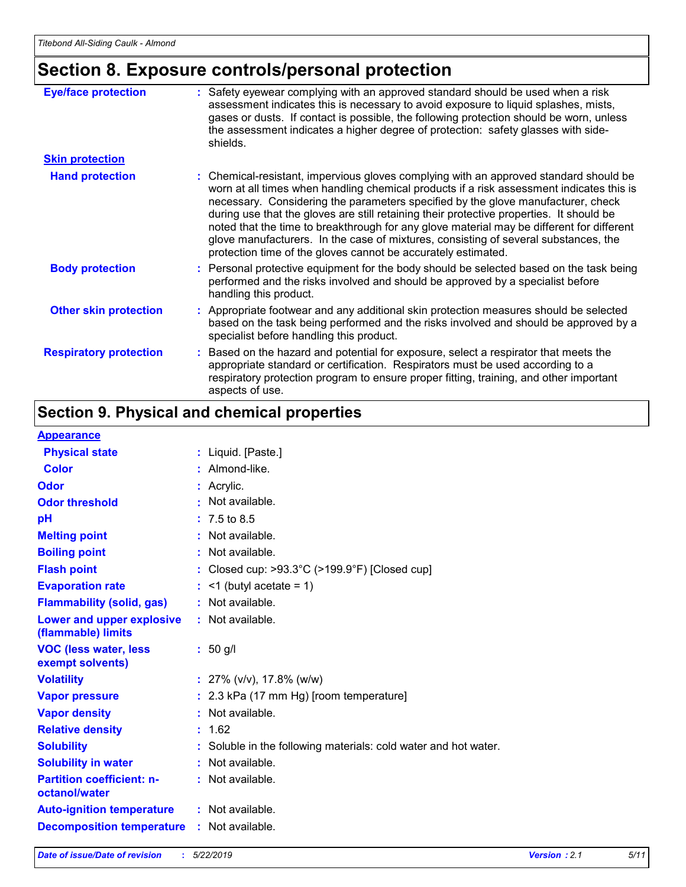## **Section 8. Exposure controls/personal protection**

| <b>Eye/face protection</b>    | : Safety eyewear complying with an approved standard should be used when a risk<br>assessment indicates this is necessary to avoid exposure to liquid splashes, mists,<br>gases or dusts. If contact is possible, the following protection should be worn, unless<br>the assessment indicates a higher degree of protection: safety glasses with side-<br>shields.                                                                                                                                                                                                                                                     |
|-------------------------------|------------------------------------------------------------------------------------------------------------------------------------------------------------------------------------------------------------------------------------------------------------------------------------------------------------------------------------------------------------------------------------------------------------------------------------------------------------------------------------------------------------------------------------------------------------------------------------------------------------------------|
| <b>Skin protection</b>        |                                                                                                                                                                                                                                                                                                                                                                                                                                                                                                                                                                                                                        |
| <b>Hand protection</b>        | : Chemical-resistant, impervious gloves complying with an approved standard should be<br>worn at all times when handling chemical products if a risk assessment indicates this is<br>necessary. Considering the parameters specified by the glove manufacturer, check<br>during use that the gloves are still retaining their protective properties. It should be<br>noted that the time to breakthrough for any glove material may be different for different<br>glove manufacturers. In the case of mixtures, consisting of several substances, the<br>protection time of the gloves cannot be accurately estimated. |
| <b>Body protection</b>        | : Personal protective equipment for the body should be selected based on the task being<br>performed and the risks involved and should be approved by a specialist before<br>handling this product.                                                                                                                                                                                                                                                                                                                                                                                                                    |
| <b>Other skin protection</b>  | : Appropriate footwear and any additional skin protection measures should be selected<br>based on the task being performed and the risks involved and should be approved by a<br>specialist before handling this product.                                                                                                                                                                                                                                                                                                                                                                                              |
| <b>Respiratory protection</b> | : Based on the hazard and potential for exposure, select a respirator that meets the<br>appropriate standard or certification. Respirators must be used according to a<br>respiratory protection program to ensure proper fitting, training, and other important<br>aspects of use.                                                                                                                                                                                                                                                                                                                                    |

### **Section 9. Physical and chemical properties**

#### **Appearance**

| <u>INNUMERIU</u>                                  |                                                                    |
|---------------------------------------------------|--------------------------------------------------------------------|
| <b>Physical state</b>                             | : Liquid. [Paste.]                                                 |
| <b>Color</b>                                      | : Almond-like.                                                     |
| Odor                                              | : Acrylic.                                                         |
| <b>Odor threshold</b>                             | : Not available.                                                   |
| pH                                                | $: 7.5 \text{ to } 8.5$                                            |
| <b>Melting point</b>                              | : Not available.                                                   |
| <b>Boiling point</b>                              | : Not available.                                                   |
| <b>Flash point</b>                                | : Closed cup: $>93.3^{\circ}$ C ( $>199.9^{\circ}$ F) [Closed cup] |
| <b>Evaporation rate</b>                           | $:$ <1 (butyl acetate = 1)                                         |
| <b>Flammability (solid, gas)</b>                  | : Not available.                                                   |
| Lower and upper explosive<br>(flammable) limits   | : Not available.                                                   |
| <b>VOC (less water, less)</b><br>exempt solvents) | $: 50$ g/l                                                         |
| <b>Volatility</b>                                 | : $27\%$ (v/v), 17.8% (w/w)                                        |
| <b>Vapor pressure</b>                             | : 2.3 kPa (17 mm Hg) [room temperature]                            |
| <b>Vapor density</b>                              | : Not available.                                                   |
| <b>Relative density</b>                           | : 1.62                                                             |
| <b>Solubility</b>                                 | : Soluble in the following materials: cold water and hot water.    |
| <b>Solubility in water</b>                        | : Not available.                                                   |
| <b>Partition coefficient: n-</b><br>octanol/water | : Not available.                                                   |
| <b>Auto-ignition temperature</b>                  | $:$ Not available.                                                 |
| <b>Decomposition temperature</b>                  | $:$ Not available.                                                 |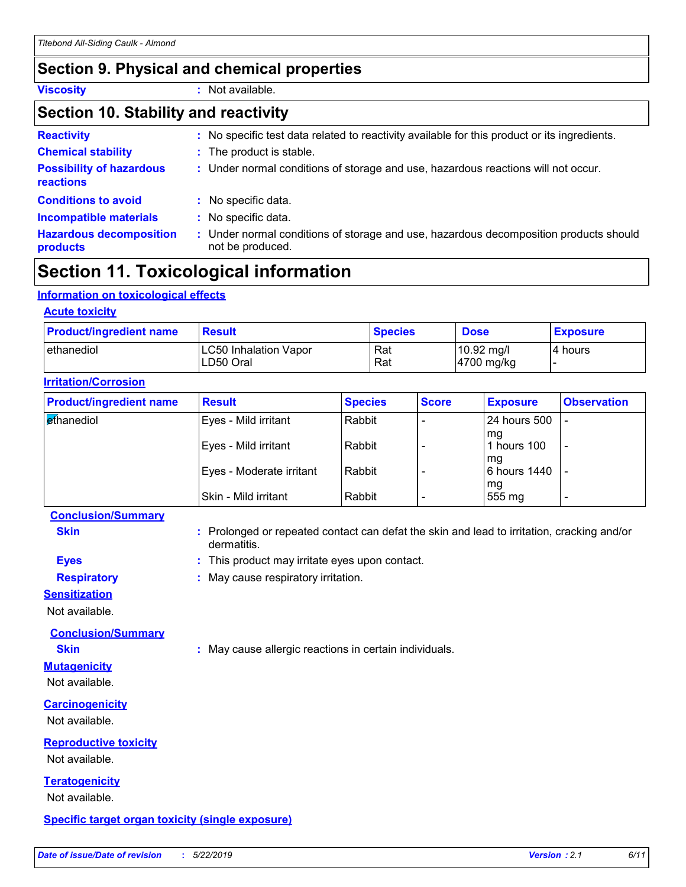### **Section 9. Physical and chemical properties**

**Viscosity :** Not available.

#### **Section 10. Stability and reactivity**

| <b>Reactivity</b>                            | : No specific test data related to reactivity available for this product or its ingredients.              |
|----------------------------------------------|-----------------------------------------------------------------------------------------------------------|
| <b>Chemical stability</b>                    | : The product is stable.                                                                                  |
| <b>Possibility of hazardous</b><br>reactions | : Under normal conditions of storage and use, hazardous reactions will not occur.                         |
| <b>Conditions to avoid</b>                   | : No specific data.                                                                                       |
| <b>Incompatible materials</b>                | : No specific data.                                                                                       |
| <b>Hazardous decomposition</b><br>products   | : Under normal conditions of storage and use, hazardous decomposition products should<br>not be produced. |

### **Section 11. Toxicological information**

#### **Information on toxicological effects**

| <b>Product/ingredient name</b> | <b>Result</b>                | <b>Species</b> | <b>Dose</b>          | <b>Exposure</b> |
|--------------------------------|------------------------------|----------------|----------------------|-----------------|
| l ethanediol                   | <b>LC50 Inhalation Vapor</b> | Rat            | $10.92 \text{ mg/l}$ | I4 hours        |
|                                | LD50 Oral                    | Rat            | 4700 mg/kg           |                 |

| <b>Product/ingredient name</b> | <b>Result</b>            | <b>Species</b> | <b>Score</b> | <b>Exposure</b>    | <b>Observation</b>       |  |
|--------------------------------|--------------------------|----------------|--------------|--------------------|--------------------------|--|
| ethanediol                     | Eyes - Mild irritant     | Rabbit         |              | 24 hours 500       |                          |  |
|                                | Eyes - Mild irritant     | Rabbit         |              | mq<br>hours 100    | $\overline{\phantom{0}}$ |  |
|                                | Eyes - Moderate irritant | Rabbit         |              | mq<br>6 hours 1440 |                          |  |
|                                | Skin - Mild irritant     | Rabbit         |              | mg<br>555 mg       |                          |  |

#### **Conclusion/Summary**

**Skin Example 20 :** Prolonged or repeated contact can defat the skin and lead to irritation, cracking and/or dermatitis.

- **Eyes :** This product may irritate eyes upon contact.
- **Respiratory :** May cause respiratory irritation.

#### **Sensitization**

Not available.

**Conclusion/Summary**

**Skin :** May cause allergic reactions in certain individuals.

### Not available.

**Mutagenicity**

**Carcinogenicity**

Not available.

### **Reproductive toxicity**

Not available.

### **Teratogenicity**

Not available.

#### **Specific target organ toxicity (single exposure)**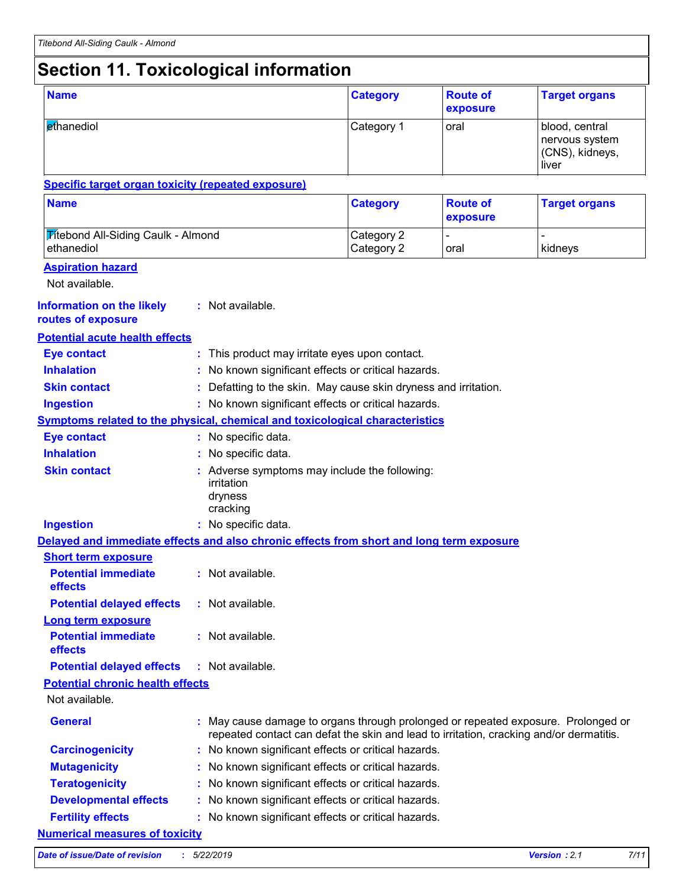### **Section 11. Toxicological information**

| <b>Name</b>                                                                              |  |                                                                                                                                                                              | <b>Category</b>                                               | <b>Route of</b><br>exposure | <b>Target organs</b>                                         |  |  |
|------------------------------------------------------------------------------------------|--|------------------------------------------------------------------------------------------------------------------------------------------------------------------------------|---------------------------------------------------------------|-----------------------------|--------------------------------------------------------------|--|--|
| ethanediol                                                                               |  |                                                                                                                                                                              | Category 1                                                    | oral                        | blood, central<br>nervous system<br>(CNS), kidneys,<br>liver |  |  |
| <b>Specific target organ toxicity (repeated exposure)</b>                                |  |                                                                                                                                                                              |                                                               |                             |                                                              |  |  |
| <b>Name</b>                                                                              |  |                                                                                                                                                                              | <b>Category</b>                                               | <b>Route of</b><br>exposure | <b>Target organs</b>                                         |  |  |
| <b>Titebond All-Siding Caulk - Almond</b><br>ethanediol                                  |  |                                                                                                                                                                              | Category 2<br>Category 2                                      | oral                        | kidneys                                                      |  |  |
| <b>Aspiration hazard</b><br>Not available.                                               |  |                                                                                                                                                                              |                                                               |                             |                                                              |  |  |
| <b>Information on the likely</b><br>routes of exposure                                   |  | : Not available.                                                                                                                                                             |                                                               |                             |                                                              |  |  |
| <b>Potential acute health effects</b>                                                    |  |                                                                                                                                                                              |                                                               |                             |                                                              |  |  |
| <b>Eye contact</b>                                                                       |  | : This product may irritate eyes upon contact.                                                                                                                               |                                                               |                             |                                                              |  |  |
| <b>Inhalation</b>                                                                        |  | No known significant effects or critical hazards.                                                                                                                            |                                                               |                             |                                                              |  |  |
| <b>Skin contact</b>                                                                      |  |                                                                                                                                                                              | Defatting to the skin. May cause skin dryness and irritation. |                             |                                                              |  |  |
| <b>Ingestion</b>                                                                         |  | : No known significant effects or critical hazards.                                                                                                                          |                                                               |                             |                                                              |  |  |
| <b>Symptoms related to the physical, chemical and toxicological characteristics</b>      |  |                                                                                                                                                                              |                                                               |                             |                                                              |  |  |
| <b>Eye contact</b>                                                                       |  | : No specific data.                                                                                                                                                          |                                                               |                             |                                                              |  |  |
| <b>Inhalation</b>                                                                        |  | : No specific data.                                                                                                                                                          |                                                               |                             |                                                              |  |  |
| <b>Skin contact</b>                                                                      |  | : Adverse symptoms may include the following:<br>irritation<br>dryness<br>cracking                                                                                           |                                                               |                             |                                                              |  |  |
| <b>Ingestion</b>                                                                         |  | : No specific data.                                                                                                                                                          |                                                               |                             |                                                              |  |  |
| Delayed and immediate effects and also chronic effects from short and long term exposure |  |                                                                                                                                                                              |                                                               |                             |                                                              |  |  |
| <b>Short term exposure</b>                                                               |  |                                                                                                                                                                              |                                                               |                             |                                                              |  |  |
| <b>Potential immediate</b><br>effects                                                    |  | : Not available.                                                                                                                                                             |                                                               |                             |                                                              |  |  |
| <b>Potential delayed effects</b>                                                         |  | : Not available.                                                                                                                                                             |                                                               |                             |                                                              |  |  |
| <b>Long term exposure</b><br><b>Potential immediate</b><br>effects                       |  | : Not available.                                                                                                                                                             |                                                               |                             |                                                              |  |  |
| <b>Potential delayed effects</b>                                                         |  | : Not available.                                                                                                                                                             |                                                               |                             |                                                              |  |  |
| <b>Potential chronic health effects</b>                                                  |  |                                                                                                                                                                              |                                                               |                             |                                                              |  |  |
| Not available.                                                                           |  |                                                                                                                                                                              |                                                               |                             |                                                              |  |  |
| <b>General</b>                                                                           |  | : May cause damage to organs through prolonged or repeated exposure. Prolonged or<br>repeated contact can defat the skin and lead to irritation, cracking and/or dermatitis. |                                                               |                             |                                                              |  |  |
| <b>Carcinogenicity</b>                                                                   |  | No known significant effects or critical hazards.                                                                                                                            |                                                               |                             |                                                              |  |  |
| <b>Mutagenicity</b>                                                                      |  | No known significant effects or critical hazards.                                                                                                                            |                                                               |                             |                                                              |  |  |
| <b>Teratogenicity</b>                                                                    |  | No known significant effects or critical hazards.                                                                                                                            |                                                               |                             |                                                              |  |  |
| <b>Developmental effects</b>                                                             |  | No known significant effects or critical hazards.                                                                                                                            |                                                               |                             |                                                              |  |  |
| <b>Fertility effects</b>                                                                 |  | No known significant effects or critical hazards.                                                                                                                            |                                                               |                             |                                                              |  |  |
| <b>Numerical measures of toxicity</b>                                                    |  |                                                                                                                                                                              |                                                               |                             |                                                              |  |  |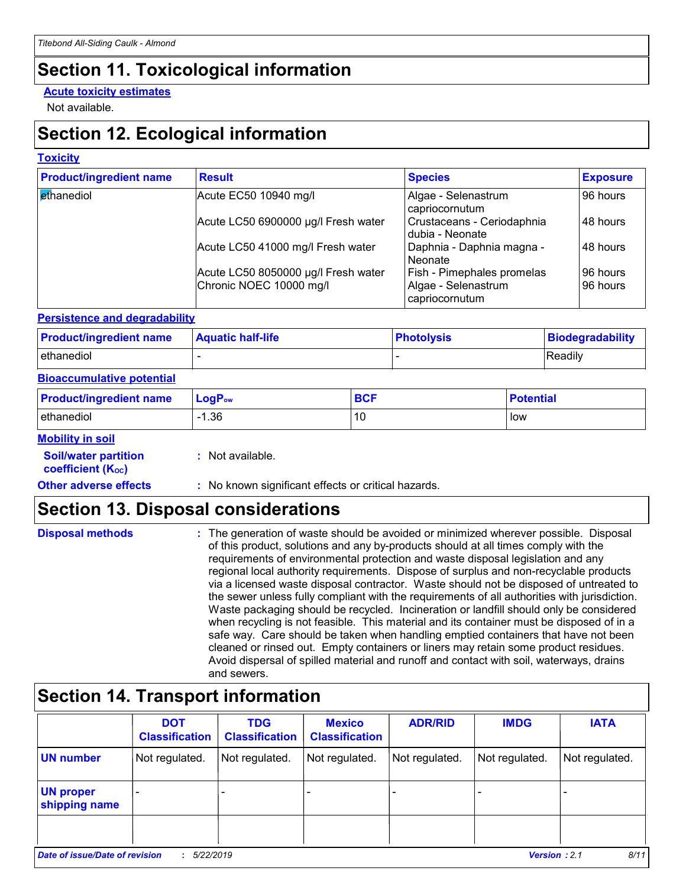### **Section 11. Toxicological information**

#### **Acute toxicity estimates**

Not available.

### **Section 12. Ecological information**

#### **Toxicity**

| <b>Product/ingredient name</b> | <b>Result</b>                       | <b>Species</b>                                | <b>Exposure</b> |
|--------------------------------|-------------------------------------|-----------------------------------------------|-----------------|
| ethanediol                     | Acute EC50 10940 mg/l               | Algae - Selenastrum<br>capriocornutum         | 96 hours        |
|                                | Acute LC50 6900000 µg/l Fresh water | Crustaceans - Ceriodaphnia<br>dubia - Neonate | 48 hours        |
|                                | Acute LC50 41000 mg/l Fresh water   | Daphnia - Daphnia magna -<br>Neonate          | 48 hours        |
|                                | Acute LC50 8050000 µg/l Fresh water | Fish - Pimephales promelas                    | 96 hours        |
|                                | Chronic NOEC 10000 mg/l             | Algae - Selenastrum<br>capriocornutum         | 96 hours        |

#### **Persistence and degradability**

| <b>Product/ingredient name</b> | <b>Aquatic half-life</b> | <b>Photolysis</b> | Biodegradability |
|--------------------------------|--------------------------|-------------------|------------------|
| ethanediol                     |                          |                   | Readily          |

#### **Bioaccumulative potential**

| <b>Product/ingredient name</b> | $\mathsf{LogP}_\mathsf{ow}$ | BCF | <b>Potential</b> |
|--------------------------------|-----------------------------|-----|------------------|
| ethanediol                     | .36                         | 10  | low              |

#### **Mobility in soil**

| <b>Soil/water partition</b> |  |
|-----------------------------|--|
| <b>coefficient (Koc)</b>    |  |

**:** Not available.

**Other adverse effects** : No known significant effects or critical hazards.

### **Section 13. Disposal considerations**

| <b>Disposal methods</b> | : The generation of waste should be avoided or minimized wherever possible. Disposal<br>of this product, solutions and any by-products should at all times comply with the<br>requirements of environmental protection and waste disposal legislation and any<br>regional local authority requirements. Dispose of surplus and non-recyclable products<br>via a licensed waste disposal contractor. Waste should not be disposed of untreated to<br>the sewer unless fully compliant with the requirements of all authorities with jurisdiction.<br>Waste packaging should be recycled. Incineration or landfill should only be considered<br>when recycling is not feasible. This material and its container must be disposed of in a<br>safe way. Care should be taken when handling emptied containers that have not been<br>cleaned or rinsed out. Empty containers or liners may retain some product residues. |
|-------------------------|---------------------------------------------------------------------------------------------------------------------------------------------------------------------------------------------------------------------------------------------------------------------------------------------------------------------------------------------------------------------------------------------------------------------------------------------------------------------------------------------------------------------------------------------------------------------------------------------------------------------------------------------------------------------------------------------------------------------------------------------------------------------------------------------------------------------------------------------------------------------------------------------------------------------|
|                         | Avoid dispersal of spilled material and runoff and contact with soil, waterways, drains<br>and sewers.                                                                                                                                                                                                                                                                                                                                                                                                                                                                                                                                                                                                                                                                                                                                                                                                              |

### **Section 14. Transport information**

|                                                                    | <b>DOT</b><br><b>Classification</b> | <b>TDG</b><br><b>Classification</b> | <b>Mexico</b><br><b>Classification</b> | <b>ADR/RID</b> | <b>IMDG</b>    | <b>IATA</b>    |
|--------------------------------------------------------------------|-------------------------------------|-------------------------------------|----------------------------------------|----------------|----------------|----------------|
| <b>UN number</b>                                                   | Not regulated.                      | Not regulated.                      | Not regulated.                         | Not regulated. | Not regulated. | Not regulated. |
| <b>UN proper</b><br>shipping name                                  |                                     |                                     |                                        |                |                |                |
|                                                                    |                                     |                                     |                                        |                |                |                |
| <b>Date of issue/Date of revision</b><br>Version: 2.1<br>5/22/2019 |                                     |                                     |                                        |                | 8/11           |                |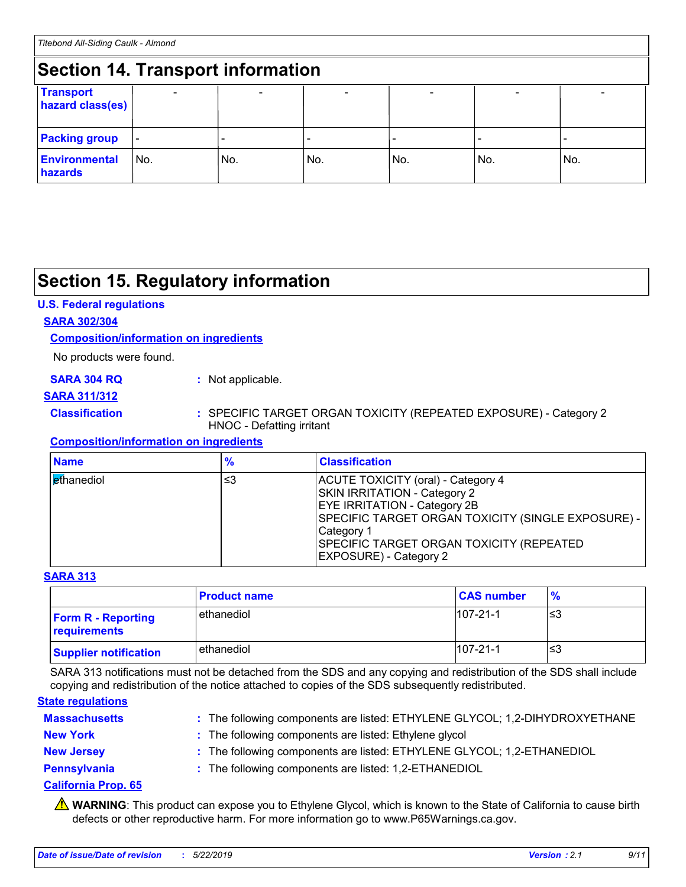#### **Section 14. Transport information** - - - - - - **Transport hazard class(es) Packing group Environmental hazards** No. No. No. - No. - No. - No.

### **Section 15. Regulatory information**

#### **U.S. Federal regulations**

#### **SARA 302/304**

#### **Composition/information on ingredients**

No products were found.

#### **SARA 304 RQ :** Not applicable.

#### **SARA 311/312**

#### **Classification :** SPECIFIC TARGET ORGAN TOXICITY (REPEATED EXPOSURE) - Category 2 HNOC - Defatting irritant

#### **Composition/information on ingredients**

| <b>Name</b>                | $\frac{9}{6}$ | <b>Classification</b>                                                                                                                                                                                                                                             |
|----------------------------|---------------|-------------------------------------------------------------------------------------------------------------------------------------------------------------------------------------------------------------------------------------------------------------------|
| l <mark>et</mark> hanediol | ≤3            | ACUTE TOXICITY (oral) - Category 4<br><b>SKIN IRRITATION - Category 2</b><br><b>EYE IRRITATION - Category 2B</b><br>SPECIFIC TARGET ORGAN TOXICITY (SINGLE EXPOSURE) -<br>Category 1<br>SPECIFIC TARGET ORGAN TOXICITY (REPEATED<br><b>EXPOSURE) - Category 2</b> |

#### **SARA 313**

|                                           | <b>Product name</b> | <b>CAS number</b> | $\frac{9}{6}$ |
|-------------------------------------------|---------------------|-------------------|---------------|
| <b>Form R - Reporting</b><br>requirements | ethanediol          | $107 - 21 - 1$    | ו≥ו           |
| <b>Supplier notification</b>              | ethanediol          | $107 - 21 - 1$    | '≤3           |

SARA 313 notifications must not be detached from the SDS and any copying and redistribution of the SDS shall include copying and redistribution of the notice attached to copies of the SDS subsequently redistributed.

#### **State regulations**

| <b>Massachusetts</b> | : The following components are listed: ETHYLENE GLYCOL; 1,2-DIHYDROXYETHANE |
|----------------------|-----------------------------------------------------------------------------|
| <b>New York</b>      | : The following components are listed: Ethylene glycol                      |
| <b>New Jersey</b>    | : The following components are listed: ETHYLENE GLYCOL; 1,2-ETHANEDIOL      |
| Pennsylvania         | : The following components are listed: 1,2-ETHANEDIOL                       |

#### **California Prop. 65**

**A** WARNING: This product can expose you to Ethylene Glycol, which is known to the State of California to cause birth defects or other reproductive harm. For more information go to www.P65Warnings.ca.gov.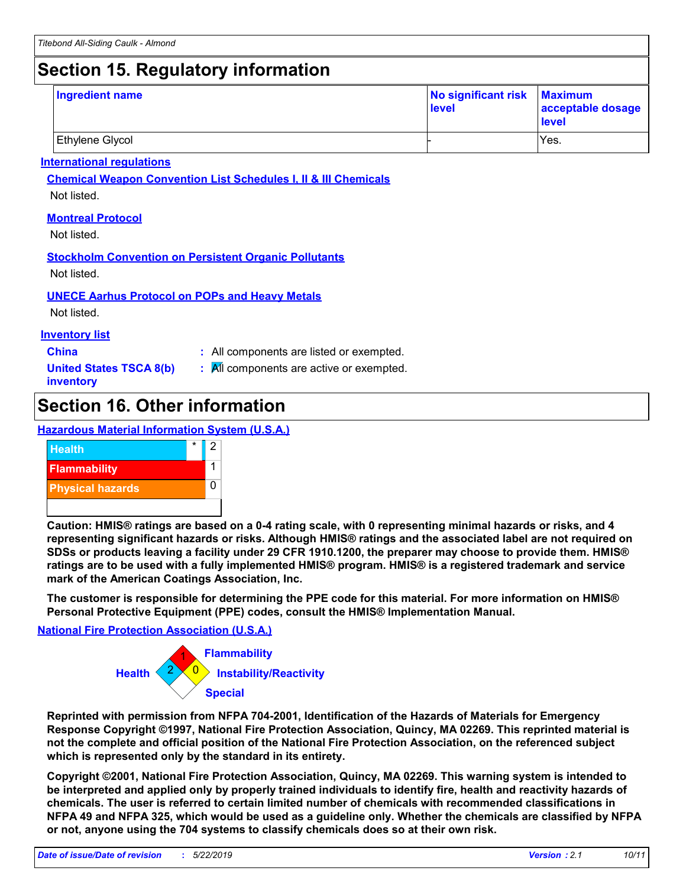### **Section 15. Regulatory information**

| <b>Ingredient name</b> | No significant risk Maximum<br>level | acceptable dosage<br>level |
|------------------------|--------------------------------------|----------------------------|
| Ethylene Glycol        |                                      | Yes.                       |

#### **International regulations**

**Chemical Weapon Convention List Schedules I, II & III Chemicals**

Not listed.

#### **Montreal Protocol**

Not listed.

#### **Stockholm Convention on Persistent Organic Pollutants**

Not listed.

#### **UNECE Aarhus Protocol on POPs and Heavy Metals**

Not listed.

#### **Inventory list**

- **China :** All components are listed or exempted.
- **United States TSCA 8(b) inventory**
- **:** All components are active or exempted.

### **Section 16. Other information**

#### **Hazardous Material Information System (U.S.A.)**



**Caution: HMIS® ratings are based on a 0-4 rating scale, with 0 representing minimal hazards or risks, and 4 representing significant hazards or risks. Although HMIS® ratings and the associated label are not required on SDSs or products leaving a facility under 29 CFR 1910.1200, the preparer may choose to provide them. HMIS® ratings are to be used with a fully implemented HMIS® program. HMIS® is a registered trademark and service mark of the American Coatings Association, Inc.**

**The customer is responsible for determining the PPE code for this material. For more information on HMIS® Personal Protective Equipment (PPE) codes, consult the HMIS® Implementation Manual.**

#### **National Fire Protection Association (U.S.A.)**



**Reprinted with permission from NFPA 704-2001, Identification of the Hazards of Materials for Emergency Response Copyright ©1997, National Fire Protection Association, Quincy, MA 02269. This reprinted material is not the complete and official position of the National Fire Protection Association, on the referenced subject which is represented only by the standard in its entirety.**

**Copyright ©2001, National Fire Protection Association, Quincy, MA 02269. This warning system is intended to be interpreted and applied only by properly trained individuals to identify fire, health and reactivity hazards of chemicals. The user is referred to certain limited number of chemicals with recommended classifications in NFPA 49 and NFPA 325, which would be used as a guideline only. Whether the chemicals are classified by NFPA or not, anyone using the 704 systems to classify chemicals does so at their own risk.**